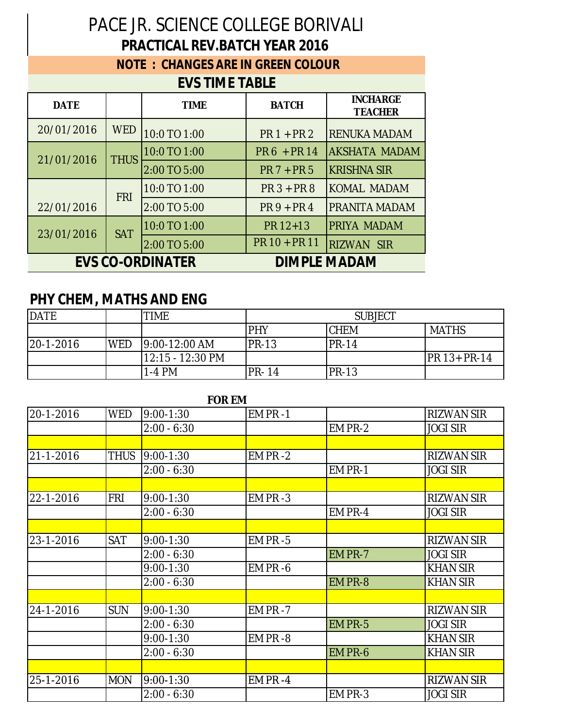## PACE JR. SCIENCE COLLEGE BORIVALI **PRACTICAL REV.BATCH YEAR 2016**

## **NOTE : CHANGES ARE IN GREEN COLOUR**

## **EVS TIME TABLE**

| <b>DATE</b>             |             | <b>TIME</b>  | <b>BATCH</b>  | <b>INCHARGE</b><br><b>TEACHER</b> |
|-------------------------|-------------|--------------|---------------|-----------------------------------|
| 20/01/2016              | <b>WED</b>  | 10:0 TO 1:00 | $PR1 + PR2$   | <b>RENUKA MADAM</b>               |
| 21/01/2016              | <b>THUS</b> | 10:0 TO 1:00 | PR 6 + PR 14  | <b>AKSHATA MADAM</b>              |
|                         |             | 2:00 TO 5:00 | $PR 7 + PR 5$ | <b>KRISHNA SIR</b>                |
|                         | <b>FRI</b>  | 10:0 TO 1:00 | $PR3 + PR8$   | <b>KOMAL MADAM</b>                |
| 22/01/2016              |             | 2:00 TO 5:00 | $PR9 + PR4$   | PRANITA MADAM                     |
| 23/01/2016              | <b>SAT</b>  | 10:0 TO 1:00 | PR 12+13      | PRIYA MADAM                       |
|                         |             | 2:00 TO 5:00 | PR 10 + PR 11 | <b>RIZWAN SIR</b>                 |
| <b>EVS CO-ORDINATER</b> |             |              |               | <b>DIMPLE MADAM</b>               |

## **PHY CHEM, MATHS AND ENG**

| <b>DATE</b>   |            | <b>TIME</b>      | <b>SUBJECT</b> |              |                      |
|---------------|------------|------------------|----------------|--------------|----------------------|
|               |            |                  | PHY            | <b>ICHEM</b> | <b>MATHS</b>         |
| $ 20-1-2016 $ | <b>WED</b> | 19:00-12:00 AM   | <b>PR-13</b>   | $IPR-14$     |                      |
|               |            | 12:15 - 12:30 PM |                |              | <b>IPR 13+ PR-14</b> |
|               |            | 1-4 PM           | <b>PR-14</b>   | $IPR-13$     |                      |

| <b>FOR EM</b> |            |               |             |         |                   |
|---------------|------------|---------------|-------------|---------|-------------------|
| 20-1-2016     | <b>WED</b> | $9:00 - 1:30$ | EM PR-1     |         | <b>RIZWAN SIR</b> |
|               |            | $2:00 - 6:30$ |             | EM PR-2 | <b>JOGI SIR</b>   |
|               |            |               |             |         |                   |
| 21-1-2016     | THUS       | $9:00 - 1:30$ | $EM PR -2$  |         | <b>RIZWAN SIR</b> |
|               |            | $2:00 - 6:30$ |             | EM PR-1 | <b>JOGI SIR</b>   |
|               |            |               |             |         |                   |
| 22-1-2016     | <b>FRI</b> | $9:00 - 1:30$ | EM PR-3     |         | <b>RIZWAN SIR</b> |
|               |            | $2:00 - 6:30$ |             | EM PR-4 | <b>JOGI SIR</b>   |
|               |            |               |             |         |                   |
| 23-1-2016     | <b>SAT</b> | $9:00 - 1:30$ | $EM$ PR -5  |         | <b>RIZWAN SIR</b> |
|               |            | $2:00 - 6:30$ |             | EM PR-7 | <b>JOGI SIR</b>   |
|               |            | $9:00 - 1:30$ | EM PR -6    |         | <b>KHAN SIR</b>   |
|               |            | $2:00 - 6:30$ |             | EM PR-8 | <b>KHAN SIR</b>   |
|               |            |               |             |         |                   |
| 24-1-2016     | <b>SUN</b> | $9:00 - 1:30$ | $EM PR - 7$ |         | <b>RIZWAN SIR</b> |
|               |            | $2:00 - 6:30$ |             | EM PR-5 | <b>JOGI SIR</b>   |
|               |            | $9:00 - 1:30$ | EM PR-8     |         | <b>KHAN SIR</b>   |
|               |            | $2:00 - 6:30$ |             | EM PR-6 | <b>KHAN SIR</b>   |
|               |            |               |             |         |                   |
| 25-1-2016     | <b>MON</b> | $9:00 - 1:30$ | EM PR-4     |         | <b>RIZWAN SIR</b> |
|               |            | $2:00 - 6:30$ |             | EM PR-3 | <b>JOGI SIR</b>   |